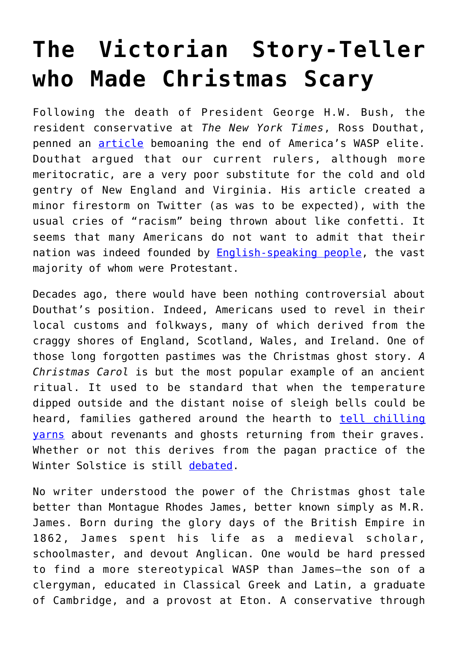## **[The Victorian Story-Teller](https://intellectualtakeout.org/2018/12/the-victorian-story-teller-who-made-christmas-scary/) [who Made Christmas Scary](https://intellectualtakeout.org/2018/12/the-victorian-story-teller-who-made-christmas-scary/)**

Following the death of President George H.W. Bush, the resident conservative at *The New York Times*, Ross Douthat, penned an **[article](https://www.nytimes.com/2018/12/05/opinion/george-bush-wasps.html)** bemoaning the end of America's WASP elite. Douthat argued that our current rulers, although more meritocratic, are a very poor substitute for the cold and old gentry of New England and Virginia. His article created a minor firestorm on Twitter (as was to be expected), with the usual cries of "racism" being thrown about like confetti. It seems that many Americans do not want to admit that their nation was indeed founded by **[English-speaking people](https://www.amazon.com/Albions-Seed-British-Folkways-cultural/dp/0195069056)**, the vast majority of whom were Protestant.

Decades ago, there would have been nothing controversial about Douthat's position. Indeed, Americans used to revel in their local customs and folkways, many of which derived from the craggy shores of England, Scotland, Wales, and Ireland. One of those long forgotten pastimes was the Christmas ghost story. *A Christmas Carol* is but the most popular example of an ancient ritual. It used to be standard that when the temperature dipped outside and the distant noise of sleigh bells could be heard, families gathered around the hearth to [tell chilling](https://www.smithsonianmag.com/smart-news/why-do-ghost-stories-go-christmas-180961547/) [yarns](https://www.smithsonianmag.com/smart-news/why-do-ghost-stories-go-christmas-180961547/) about revenants and ghosts returning from their graves. Whether or not this derives from the pagan practice of the Winter Solstice is still [debated.](https://www.theparisreview.org/blog/2014/12/19/ghosts-on-the-nog/)

No writer understood the power of the Christmas ghost tale better than Montague Rhodes James, better known simply as M.R. James. Born during the glory days of the British Empire in 1862, James spent his life as a medieval scholar, schoolmaster, and devout Anglican. One would be hard pressed to find a more stereotypical WASP than James—the son of a clergyman, educated in Classical Greek and Latin, a graduate of Cambridge, and a provost at Eton. A conservative through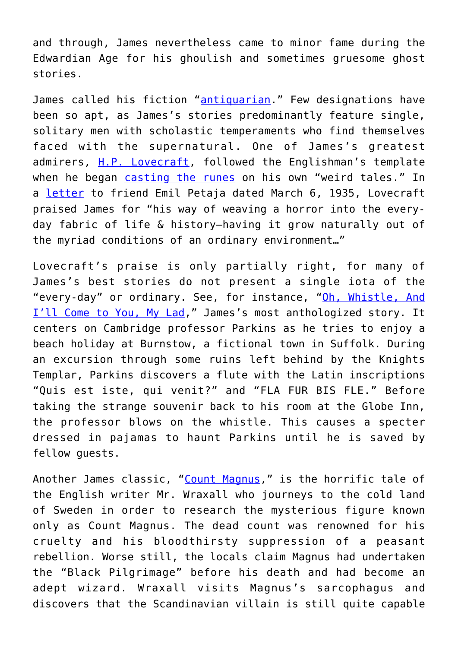and through, James nevertheless came to minor fame during the Edwardian Age for his ghoulish and sometimes gruesome ghost stories.

James called his fiction "[antiquarian.](https://www.amazon.com/Ghost-Stories-Antiquary-M-R-James/dp/1619492482)" Few designations have been so apt, as James's stories predominantly feature single, solitary men with scholastic temperaments who find themselves faced with the supernatural. One of James's greatest admirers, [H.P. Lovecraft](http://airshipdaily.com/blog/10202014-m-r-james), followed the Englishman's template when he began [casting the runes](http://www.thin-ghost.org/items/show/134) on his own "weird tales." In a [letter](http://www.hplovecraft.com/life/interest/authors.aspx) to friend Emil Petaja dated March 6, 1935, Lovecraft praised James for "his way of weaving a horror into the everyday fabric of life & history—having it grow naturally out of the myriad conditions of an ordinary environment…"

Lovecraft's praise is only partially right, for many of James's best stories do not present a single iota of the "every-day" or ordinary. See, for instance, "[Oh, Whistle, And](http://www.thin-ghost.org/items/show/150) [I'll Come to You, My Lad](http://www.thin-ghost.org/items/show/150)," James's most anthologized story. It centers on Cambridge professor Parkins as he tries to enjoy a beach holiday at Burnstow, a fictional town in Suffolk. During an excursion through some ruins left behind by the Knights Templar, Parkins discovers a flute with the Latin inscriptions "Quis est iste, qui venit?" and "FLA FUR BIS FLE." Before taking the strange souvenir back to his room at the Globe Inn, the professor blows on the whistle. This causes a specter dressed in pajamas to haunt Parkins until he is saved by fellow guests.

Another James classic, "[Count Magnus,](http://www.thin-ghost.org/items/show/135)" is the horrific tale of the English writer Mr. Wraxall who journeys to the cold land of Sweden in order to research the mysterious figure known only as Count Magnus. The dead count was renowned for his cruelty and his bloodthirsty suppression of a peasant rebellion. Worse still, the locals claim Magnus had undertaken the "Black Pilgrimage" before his death and had become an adept wizard. Wraxall visits Magnus's sarcophagus and discovers that the Scandinavian villain is still quite capable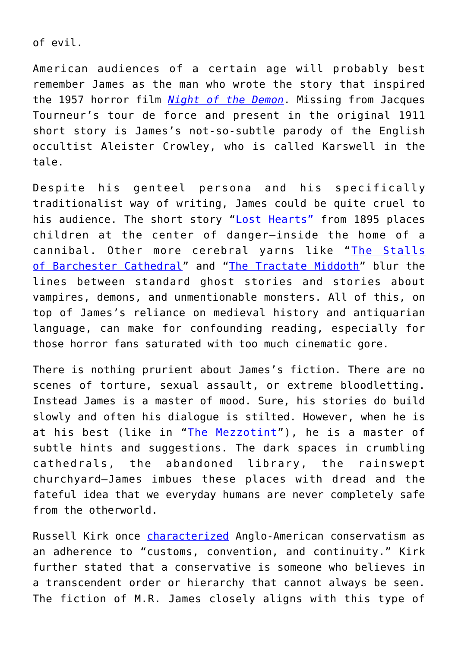of evil.

American audiences of a certain age will probably best remember James as the man who wrote the story that inspired the 1957 horror film *[Night of the Demon](https://www.youtube.com/watch?v=jFlzcyd0yqA)*. Missing from Jacques Tourneur's tour de force and present in the original 1911 short story is James's not-so-subtle parody of the English occultist Aleister Crowley, who is called Karswell in the tale.

Despite his genteel persona and his specifically traditionalist way of writing, James could be quite cruel to his audience. The short story "[Lost Hearts"](https://www.thin-ghost.org/items/show/143) from 1895 places children at the center of danger—inside the home of a cannibal. Other more cerebral yarns like "[The Stalls](https://www.thin-ghost.org/items/show/155) [of Barchester Cathedral](https://www.thin-ghost.org/items/show/155)" and "[The Tractate Middoth](https://www.thin-ghost.org/items/show/158)" blur the lines between standard ghost stories and stories about vampires, demons, and unmentionable monsters. All of this, on top of James's reliance on medieval history and antiquarian language, can make for confounding reading, especially for those horror fans saturated with too much cinematic gore.

There is nothing prurient about James's fiction. There are no scenes of torture, sexual assault, or extreme bloodletting. Instead James is a master of mood. Sure, his stories do build slowly and often his dialogue is stilted. However, when he is at his best (like in "[The Mezzotint"](https://www.thin-ghost.org/items/show/145)), he is a master of subtle hints and suggestions. The dark spaces in crumbling cathedrals, the abandoned library, the rainswept churchyard—James imbues these places with dread and the fateful idea that we everyday humans are never completely safe from the otherworld.

Russell Kirk once *characterized* Anglo-American conservatism as an adherence to "customs, convention, and continuity." Kirk further stated that a conservative is someone who believes in a transcendent order or hierarchy that cannot always be seen. The fiction of M.R. James closely aligns with this type of